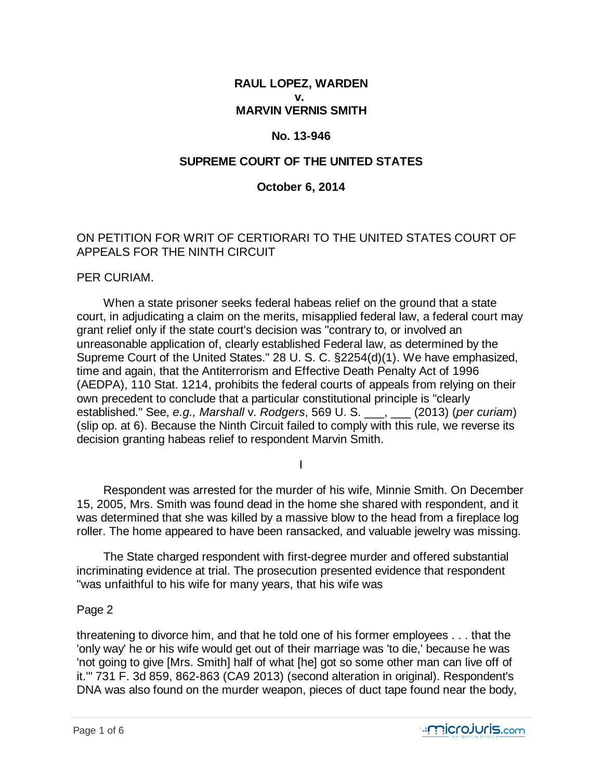## **RAUL LOPEZ, WARDEN v. MARVIN VERNIS SMITH**

#### **No. 13-946**

## **SUPREME COURT OF THE UNITED STATES**

### **October 6, 2014**

# ON PETITION FOR WRIT OF CERTIORARI TO THE UNITED STATES COURT OF APPEALS FOR THE NINTH CIRCUIT

#### PER CURIAM.

 When a state prisoner seeks federal habeas relief on the ground that a state court, in adjudicating a claim on the merits, misapplied federal law, a federal court may grant relief only if the state court's decision was "contrary to, or involved an unreasonable application of, clearly established Federal law, as determined by the Supreme Court of the United States." 28 U. S. C. §2254(d)(1). We have emphasized, time and again, that the Antiterrorism and Effective Death Penalty Act of 1996 (AEDPA), 110 Stat. 1214, prohibits the federal courts of appeals from relying on their own precedent to conclude that a particular constitutional principle is "clearly established." See, *e.g., Marshall* v. *Rodgers*, 569 U. S. \_\_\_, \_\_\_ (2013) (*per curiam*) (slip op. at 6). Because the Ninth Circuit failed to comply with this rule, we reverse its decision granting habeas relief to respondent Marvin Smith.

I

 Respondent was arrested for the murder of his wife, Minnie Smith. On December 15, 2005, Mrs. Smith was found dead in the home she shared with respondent, and it was determined that she was killed by a massive blow to the head from a fireplace log roller. The home appeared to have been ransacked, and valuable jewelry was missing.

 The State charged respondent with first-degree murder and offered substantial incriminating evidence at trial. The prosecution presented evidence that respondent "was unfaithful to his wife for many years, that his wife was

#### Page 2

threatening to divorce him, and that he told one of his former employees . . . that the 'only way' he or his wife would get out of their marriage was 'to die,' because he was 'not going to give [Mrs. Smith] half of what [he] got so some other man can live off of it.'" 731 F. 3d 859, 862-863 (CA9 2013) (second alteration in original). Respondent's DNA was also found on the murder weapon, pieces of duct tape found near the body,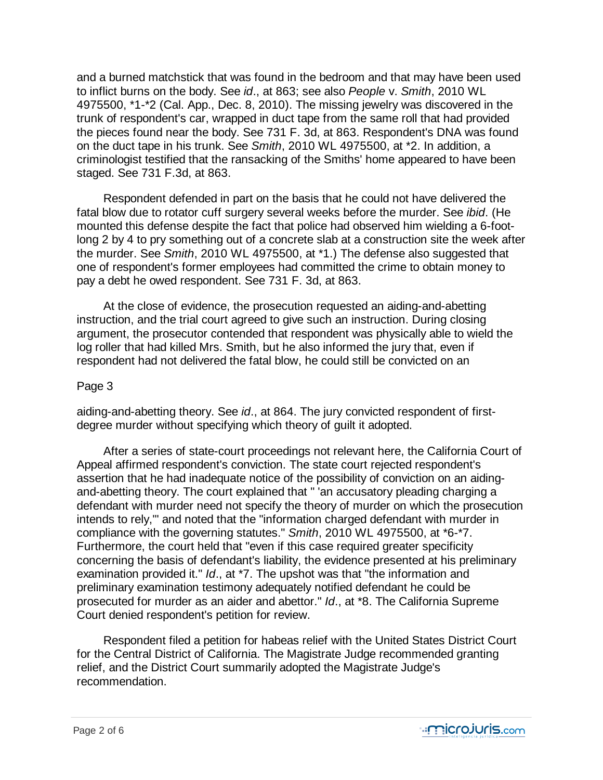and a burned matchstick that was found in the bedroom and that may have been used to inflict burns on the body. See *id*., at 863; see also *People* v. *Smith*, 2010 WL 4975500, \*1-\*2 (Cal. App., Dec. 8, 2010). The missing jewelry was discovered in the trunk of respondent's car, wrapped in duct tape from the same roll that had provided the pieces found near the body. See 731 F. 3d, at 863. Respondent's DNA was found on the duct tape in his trunk. See *Smith*, 2010 WL 4975500, at \*2. In addition, a criminologist testified that the ransacking of the Smiths' home appeared to have been staged. See 731 F.3d, at 863.

 Respondent defended in part on the basis that he could not have delivered the fatal blow due to rotator cuff surgery several weeks before the murder. See *ibid*. (He mounted this defense despite the fact that police had observed him wielding a 6-footlong 2 by 4 to pry something out of a concrete slab at a construction site the week after the murder. See *Smith*, 2010 WL 4975500, at \*1.) The defense also suggested that one of respondent's former employees had committed the crime to obtain money to pay a debt he owed respondent. See 731 F. 3d, at 863.

 At the close of evidence, the prosecution requested an aiding-and-abetting instruction, and the trial court agreed to give such an instruction. During closing argument, the prosecutor contended that respondent was physically able to wield the log roller that had killed Mrs. Smith, but he also informed the jury that, even if respondent had not delivered the fatal blow, he could still be convicted on an

## Page 3

aiding-and-abetting theory. See *id*., at 864. The jury convicted respondent of firstdegree murder without specifying which theory of guilt it adopted.

 After a series of state-court proceedings not relevant here, the California Court of Appeal affirmed respondent's conviction. The state court rejected respondent's assertion that he had inadequate notice of the possibility of conviction on an aidingand-abetting theory. The court explained that " 'an accusatory pleading charging a defendant with murder need not specify the theory of murder on which the prosecution intends to rely,'" and noted that the "information charged defendant with murder in compliance with the governing statutes." *Smith*, 2010 WL 4975500, at \*6-\*7. Furthermore, the court held that "even if this case required greater specificity concerning the basis of defendant's liability, the evidence presented at his preliminary examination provided it." *Id*., at \*7. The upshot was that "the information and preliminary examination testimony adequately notified defendant he could be prosecuted for murder as an aider and abettor." *Id*., at \*8. The California Supreme Court denied respondent's petition for review.

 Respondent filed a petition for habeas relief with the United States District Court for the Central District of California. The Magistrate Judge recommended granting relief, and the District Court summarily adopted the Magistrate Judge's recommendation.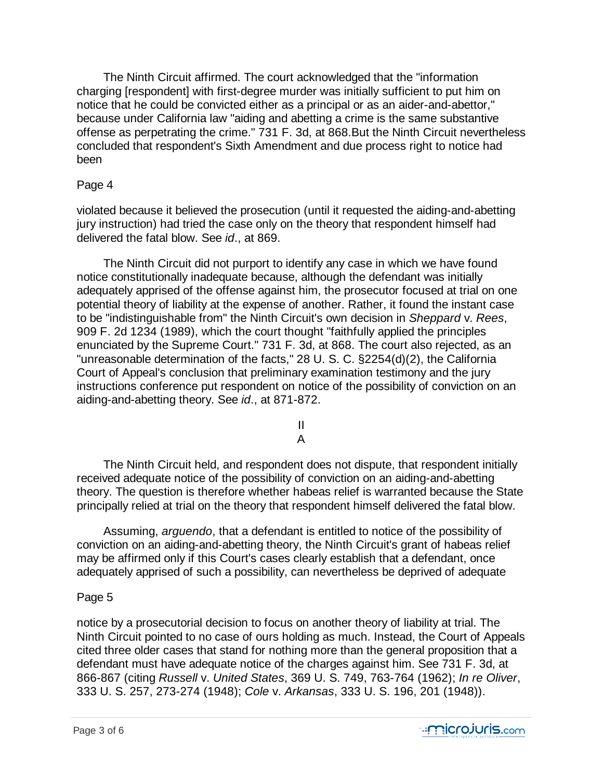The Ninth Circuit affirmed. The court acknowledged that the "information charging [respondent] with first-degree murder was initially sufficient to put him on notice that he could be convicted either as a principal or as an aider-and-abettor," because under California law "aiding and abetting a crime is the same substantive offense as perpetrating the crime." 731 F. 3d, at 868.But the Ninth Circuit nevertheless concluded that respondent's Sixth Amendment and due process right to notice had been

### Page 4

violated because it believed the prosecution (until it requested the aiding-and-abetting jury instruction) had tried the case only on the theory that respondent himself had delivered the fatal blow. See *id*., at 869.

 The Ninth Circuit did not purport to identify any case in which we have found notice constitutionally inadequate because, although the defendant was initially adequately apprised of the offense against him, the prosecutor focused at trial on one potential theory of liability at the expense of another. Rather, it found the instant case to be "indistinguishable from" the Ninth Circuit's own decision in *Sheppard* v. *Rees*, 909 F. 2d 1234 (1989), which the court thought "faithfully applied the principles enunciated by the Supreme Court." 731 F. 3d, at 868. The court also rejected, as an "unreasonable determination of the facts," 28 U. S. C. §2254(d)(2), the California Court of Appeal's conclusion that preliminary examination testimony and the jury instructions conference put respondent on notice of the possibility of conviction on an aiding-and-abetting theory. See *id*., at 871-872.

> II A

 The Ninth Circuit held, and respondent does not dispute, that respondent initially received adequate notice of the possibility of conviction on an aiding-and-abetting theory. The question is therefore whether habeas relief is warranted because the State principally relied at trial on the theory that respondent himself delivered the fatal blow.

 Assuming, *arguendo*, that a defendant is entitled to notice of the possibility of conviction on an aiding-and-abetting theory, the Ninth Circuit's grant of habeas relief may be affirmed only if this Court's cases clearly establish that a defendant, once adequately apprised of such a possibility, can nevertheless be deprived of adequate

# Page 5

notice by a prosecutorial decision to focus on another theory of liability at trial. The Ninth Circuit pointed to no case of ours holding as much. Instead, the Court of Appeals cited three older cases that stand for nothing more than the general proposition that a defendant must have adequate notice of the charges against him. See 731 F. 3d, at 866-867 (citing *Russell* v. *United States*, 369 U. S. 749, 763-764 (1962); *In re Oliver*, 333 U. S. 257, 273-274 (1948); *Cole* v. *Arkansas*, 333 U. S. 196, 201 (1948)).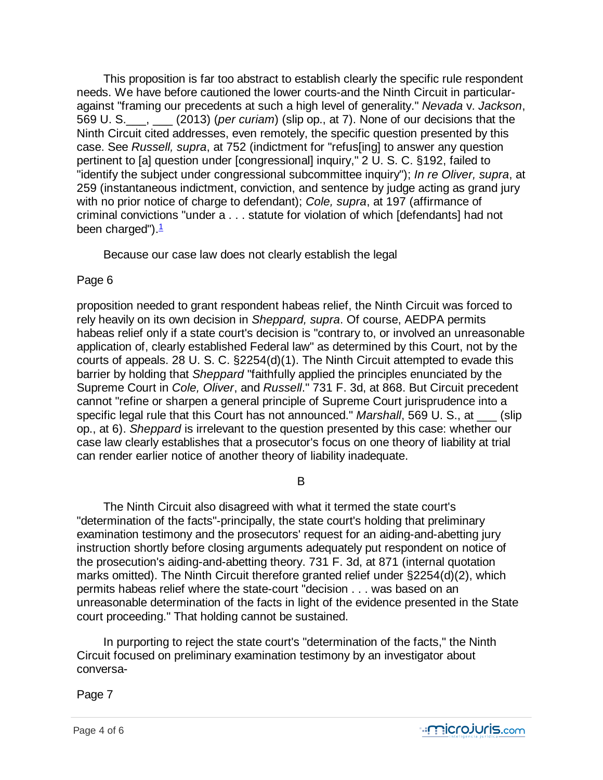This proposition is far too abstract to establish clearly the specific rule respondent needs. We have before cautioned the lower courts-and the Ninth Circuit in particularagainst "framing our precedents at such a high level of generality." *Nevada* v. *Jackson*, 569 U. S.\_\_\_, \_\_\_ (2013) (*per curiam*) (slip op., at 7). None of our decisions that the Ninth Circuit cited addresses, even remotely, the specific question presented by this case. See *Russell, supra*, at 752 (indictment for "refus[ing] to answer any question pertinent to [a] question under [congressional] inquiry," 2 U. S. C. §192, failed to "identify the subject under congressional subcommittee inquiry"); *In re Oliver, supra*, at 259 (instantaneous indictment, conviction, and sentence by judge acting as grand jury with no prior notice of charge to defendant); *Cole, supra*, at 197 (affirmance of criminal convictions "under a . . . statute for violation of which [defendants] had not been charged"). $\frac{1}{2}$ 

Because our case law does not clearly establish the legal

# Page 6

proposition needed to grant respondent habeas relief, the Ninth Circuit was forced to rely heavily on its own decision in *Sheppard, supra*. Of course, AEDPA permits habeas relief only if a state court's decision is "contrary to, or involved an unreasonable application of, clearly established Federal law" as determined by this Court, not by the courts of appeals. 28 U. S. C. §2254(d)(1). The Ninth Circuit attempted to evade this barrier by holding that *Sheppard* "faithfully applied the principles enunciated by the Supreme Court in *Cole, Oliver*, and *Russell*." 731 F. 3d, at 868. But Circuit precedent cannot "refine or sharpen a general principle of Supreme Court jurisprudence into a specific legal rule that this Court has not announced." *Marshall*, 569 U. S., at (slip op., at 6). *Sheppard* is irrelevant to the question presented by this case: whether our case law clearly establishes that a prosecutor's focus on one theory of liability at trial can render earlier notice of another theory of liability inadequate.

# B

 The Ninth Circuit also disagreed with what it termed the state court's "determination of the facts"-principally, the state court's holding that preliminary examination testimony and the prosecutors' request for an aiding-and-abetting jury instruction shortly before closing arguments adequately put respondent on notice of the prosecution's aiding-and-abetting theory. 731 F. 3d, at 871 (internal quotation marks omitted). The Ninth Circuit therefore granted relief under §2254(d)(2), which permits habeas relief where the state-court "decision . . . was based on an unreasonable determination of the facts in light of the evidence presented in the State court proceeding." That holding cannot be sustained.

 In purporting to reject the state court's "determination of the facts," the Ninth Circuit focused on preliminary examination testimony by an investigator about conversa-

Page 7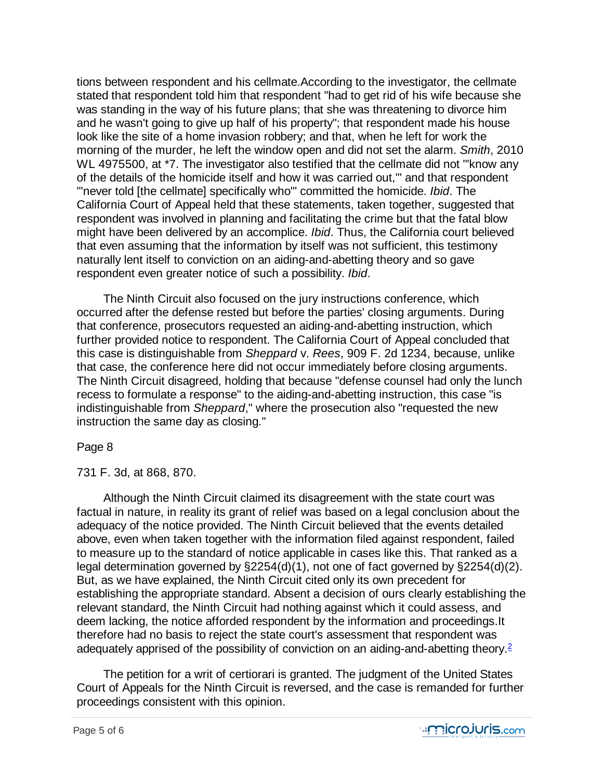tions between respondent and his cellmate.According to the investigator, the cellmate stated that respondent told him that respondent "had to get rid of his wife because she was standing in the way of his future plans; that she was threatening to divorce him and he wasn't going to give up half of his property"; that respondent made his house look like the site of a home invasion robbery; and that, when he left for work the morning of the murder, he left the window open and did not set the alarm. *Smith*, 2010 WL 4975500, at \*7. The investigator also testified that the cellmate did not "'know any of the details of the homicide itself and how it was carried out,'" and that respondent "'never told [the cellmate] specifically who'" committed the homicide. *Ibid*. The California Court of Appeal held that these statements, taken together, suggested that respondent was involved in planning and facilitating the crime but that the fatal blow might have been delivered by an accomplice. *Ibid*. Thus, the California court believed that even assuming that the information by itself was not sufficient, this testimony naturally lent itself to conviction on an aiding-and-abetting theory and so gave respondent even greater notice of such a possibility. *Ibid*.

 The Ninth Circuit also focused on the jury instructions conference, which occurred after the defense rested but before the parties' closing arguments. During that conference, prosecutors requested an aiding-and-abetting instruction, which further provided notice to respondent. The California Court of Appeal concluded that this case is distinguishable from *Sheppard* v. *Rees*, 909 F. 2d 1234, because, unlike that case, the conference here did not occur immediately before closing arguments. The Ninth Circuit disagreed, holding that because "defense counsel had only the lunch recess to formulate a response" to the aiding-and-abetting instruction, this case "is indistinguishable from *Sheppard*," where the prosecution also "requested the new instruction the same day as closing."

#### Page 8

731 F. 3d, at 868, 870.

 Although the Ninth Circuit claimed its disagreement with the state court was factual in nature, in reality its grant of relief was based on a legal conclusion about the adequacy of the notice provided. The Ninth Circuit believed that the events detailed above, even when taken together with the information filed against respondent, failed to measure up to the standard of notice applicable in cases like this. That ranked as a legal determination governed by §2254(d)(1), not one of fact governed by §2254(d)(2). But, as we have explained, the Ninth Circuit cited only its own precedent for establishing the appropriate standard. Absent a decision of ours clearly establishing the relevant standard, the Ninth Circuit had nothing against which it could assess, and deem lacking, the notice afforded respondent by the information and proceedings.It therefore had no basis to reject the state court's assessment that respondent was adequately apprised of the possibility of conviction on an aiding-and-abetting theory.<sup>2</sup>

 The petition for a writ of certiorari is granted. The judgment of the United States Court of Appeals for the Ninth Circuit is reversed, and the case is remanded for further proceedings consistent with this opinion.